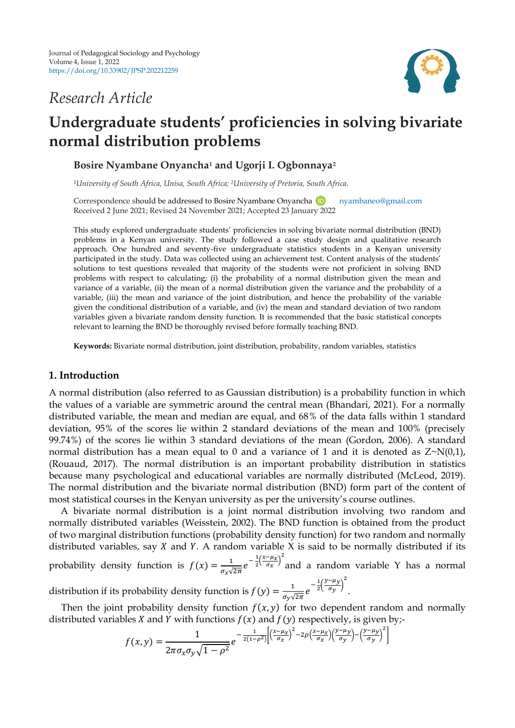# *Research Article*



# **Undergraduate students' proficiencies in solving bivariate normal distribution problems**

**Bosire Nyambane Onyancha<sup>1</sup> and Ugorji I. Ogbonnaya<sup>2</sup>**

*<sup>1</sup>University of South Africa, Unisa, South Africa; 2University of Pretoria, South Africa.*

Correspondenceshould be addressed to Bosire Nyambane Onyancha **D** [nyambaneo@gmail.com](mailto:nyambaneo@gmail.com) Received 2 June 2021; Revised 24 November 2021; Accepted 23 January 2022

This study explored undergraduate students' proficiencies in solving bivariate normal distribution (BND) problems in a Kenyan university. The study followed a case study design and qualitative research approach. One hundred and seventy-five undergraduate statistics students in a Kenyan university participated in the study. Data was collected using an achievement test. Content analysis of the students' solutions to test questions revealed that majority of the students were not proficient in solving BND problems with respect to calculating; (i) the probability of a normal distribution given the mean and variance of a variable, (ii) the mean of a normal distribution given the variance and the probability of a variable, (iii) the mean and variance of the joint distribution, and hence the probability of the variable given the conditional distribution of a variable, and (iv) the mean and standard deviation of two random variables given a bivariate random density function. It is recommended that the basic statistical concepts relevant to learning the BND be thoroughly revised before formally teaching BND.

**Keywords:** Bivariate normal distribution, joint distribution, probability, random variables, statistics

# **1. Introduction**

A normal distribution (also referred to as Gaussian distribution) is a probability function in which the values of a variable are symmetric around the central mean (Bhandari, 2021). For a normally distributed variable, the mean and median are equal, and 68% of the data falls within 1 standard deviation, 95% of the scores lie within 2 standard deviations of the mean and 100% (precisely 99.74%) of the scores lie within 3 standard deviations of the mean (Gordon, 2006). A standard normal distribution has a mean equal to 0 and a variance of 1 and it is denoted as  $Z \sim N(0,1)$ , (Rouaud, 2017). The normal distribution is an important probability distribution in statistics because many psychological and educational variables are normally distributed (McLeod, 2019). The normal distribution and the bivariate normal distribution (BND) form part of the content of most statistical courses in the Kenyan university as per the university's course outlines.

A bivariate normal distribution is a joint normal distribution involving two random and normally distributed variables (Weisstein, 2002). The BND function is obtained from the product of two marginal distribution functions (probability density function) for two random and normally distributed variables, say  $X$  and  $Y$ . A random variable  $X$  is said to be normally distributed if its

probability density function is  $f(x) = \frac{1}{x}$  $\frac{1}{\sigma_x\sqrt{2\pi}}e^{-\frac{1}{2}}$  $rac{1}{2}(\frac{x}{2})$  $\frac{-\mu_X}{\sigma_X}$ )<sup>2</sup> and a random variable Y has a normal  $\frac{1}{2}(\frac{y}{z})$  $\left(\frac{-\mu y}{\sigma_v}\right)^2$ 

distribution if its probability density function is  $f(y) = \frac{1}{x}$  $\frac{1}{\sigma_{\rm y}\sqrt{2\pi}}e^{-\frac{1}{2}}$ .

Then the joint probability density function  $f(x, y)$  for two dependent random and normally distributed variables X and Y with functions  $f(x)$  and  $f(y)$  respectively, is given by;-

$$
f(x,y) = \frac{1}{2\pi\sigma_x\sigma_y\sqrt{1-\rho^2}}e^{-\frac{1}{2(1-\rho^2)}\left[\left(\frac{x-\mu_x}{\sigma_x}\right)^2 - 2\rho\left(\frac{x-\mu_y}{\sigma_x}\right)\left(\frac{y-\mu_y}{\sigma_y}\right) - \left(\frac{y-\mu_y}{\sigma_y}\right)^2\right]}
$$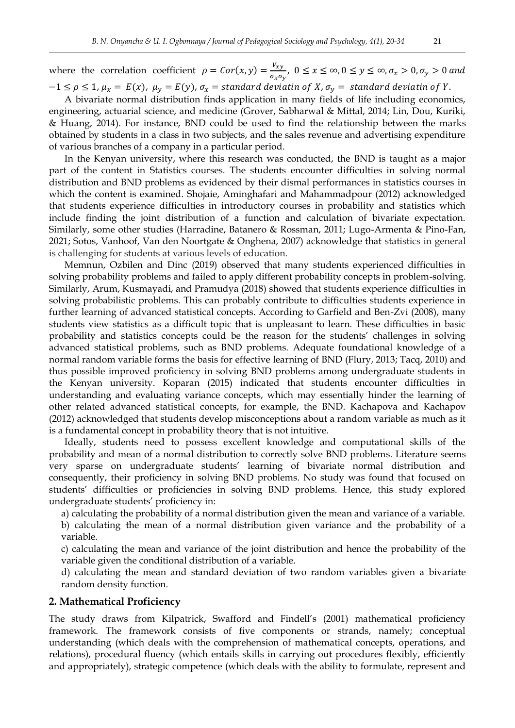where the correlation coefficient  $\rho = Cor(x, y) = \frac{v}{f}$  $\frac{\partial^2 x}{\partial x \partial y}$ 

 $-1 \leq \rho \leq 1$ ,  $\mu_x = E(x)$ ,  $\mu_y = E(y)$ ,  $\sigma_x =$  standard deviatin of X,  $\sigma_y =$  standard deviatin of Y.

A bivariate normal distribution finds application in many fields of life including economics, engineering, actuarial science, and medicine (Grover, Sabharwal & Mittal, 2014; Lin, Dou, Kuriki, & Huang, 2014). For instance, BND could be used to find the relationship between the marks obtained by students in a class in two subjects, and the sales revenue and advertising expenditure of various branches of a company in a particular period.

In the Kenyan university, where this research was conducted, the BND is taught as a major part of the content in Statistics courses. The students encounter difficulties in solving normal distribution and BND problems as evidenced by their dismal performances in statistics courses in which the content is examined. Shojaie, Aminghafari and Mahammadpour (2012) acknowledged that students experience difficulties in introductory courses in probability and statistics which include finding the joint distribution of a function and calculation of bivariate expectation. Similarly, some other studies (Harradine, Batanero & Rossman, 2011; Lugo-Armenta & Pino-Fan, 2021; Sotos, Vanhoof, Van den Noortgate & Onghena, 2007) acknowledge that statistics in general is challenging for students at various levels of education.

Memnun, Ozbilen and Dinc (2019) observed that many students experienced difficulties in solving probability problems and failed to apply different probability concepts in problem-solving. Similarly, Arum, Kusmayadi, and Pramudya (2018) showed that students experience difficulties in solving probabilistic problems. This can probably contribute to difficulties students experience in further learning of advanced statistical concepts. According to Garfield and Ben-Zvi (2008), many students view statistics as a difficult topic that is unpleasant to learn. These difficulties in basic probability and statistics concepts could be the reason for the students' challenges in solving advanced statistical problems, such as BND problems. Adequate foundational knowledge of a normal random variable forms the basis for effective learning of BND (Flury, 2013; Tacq, 2010) and thus possible improved proficiency in solving BND problems among undergraduate students in the Kenyan university. Koparan (2015) indicated that students encounter difficulties in understanding and evaluating variance concepts, which may essentially hinder the learning of other related advanced statistical concepts, for example, the BND. Kachapova and Kachapov (2012) acknowledged that students develop misconceptions about a random variable as much as it is a fundamental concept in probability theory that is not intuitive.

Ideally, students need to possess excellent knowledge and computational skills of the probability and mean of a normal distribution to correctly solve BND problems. Literature seems very sparse on undergraduate students' learning of bivariate normal distribution and consequently, their proficiency in solving BND problems. No study was found that focused on students' difficulties or proficiencies in solving BND problems. Hence, this study explored undergraduate students' proficiency in:

a) calculating the probability of a normal distribution given the mean and variance of a variable. b) calculating the mean of a normal distribution given variance and the probability of a variable.

c) calculating the mean and variance of the joint distribution and hence the probability of the variable given the conditional distribution of a variable.

d) calculating the mean and standard deviation of two random variables given a bivariate random density function.

## **2. Mathematical Proficiency**

The study draws from Kilpatrick, Swafford and Findell's (2001) mathematical proficiency framework. The framework consists of five components or strands, namely; conceptual understanding (which deals with the comprehension of mathematical concepts, operations, and relations), procedural fluency (which entails skills in carrying out procedures flexibly, efficiently and appropriately), strategic competence (which deals with the ability to formulate, represent and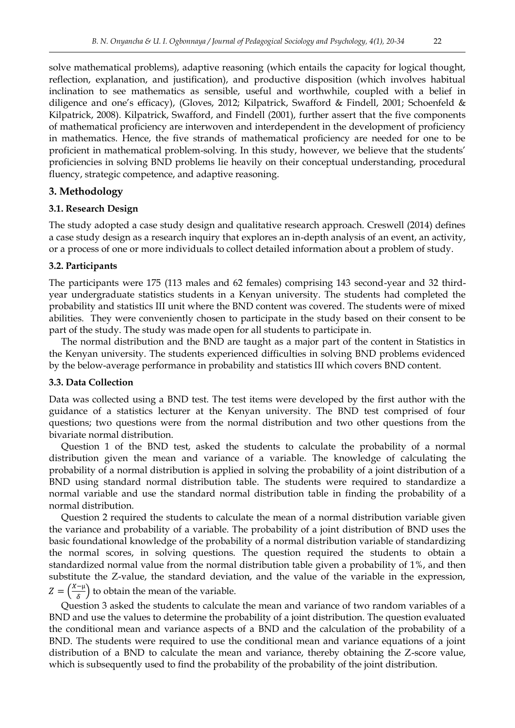solve mathematical problems), adaptive reasoning (which entails the capacity for logical thought, reflection, explanation, and justification), and productive disposition (which involves habitual inclination to see mathematics as sensible, useful and worthwhile, coupled with a belief in diligence and one's efficacy), (Gloves, 2012; Kilpatrick, Swafford & Findell, 2001; Schoenfeld & Kilpatrick, 2008). Kilpatrick, Swafford, and Findell (2001), further assert that the five components of mathematical proficiency are interwoven and interdependent in the development of proficiency in mathematics. Hence, the five strands of mathematical proficiency are needed for one to be proficient in mathematical problem-solving. In this study, however, we believe that the students' proficiencies in solving BND problems lie heavily on their conceptual understanding, procedural fluency, strategic competence, and adaptive reasoning.

## **3. Methodology**

## **3.1. Research Design**

The study adopted a case study design and qualitative research approach. Creswell (2014) defines a case study design as a research inquiry that explores an in-depth analysis of an event, an activity, or a process of one or more individuals to collect detailed information about a problem of study.

## **3.2. Participants**

The participants were 175 (113 males and 62 females) comprising 143 second-year and 32 thirdyear undergraduate statistics students in a Kenyan university. The students had completed the probability and statistics III unit where the BND content was covered. The students were of mixed abilities. They were conveniently chosen to participate in the study based on their consent to be part of the study. The study was made open for all students to participate in.

The normal distribution and the BND are taught as a major part of the content in Statistics in the Kenyan university. The students experienced difficulties in solving BND problems evidenced by the below-average performance in probability and statistics III which covers BND content.

## **3.3. Data Collection**

Data was collected using a BND test. The test items were developed by the first author with the guidance of a statistics lecturer at the Kenyan university. The BND test comprised of four questions; two questions were from the normal distribution and two other questions from the bivariate normal distribution.

Question 1 of the BND test, asked the students to calculate the probability of a normal distribution given the mean and variance of a variable. The knowledge of calculating the probability of a normal distribution is applied in solving the probability of a joint distribution of a BND using standard normal distribution table. The students were required to standardize a normal variable and use the standard normal distribution table in finding the probability of a normal distribution.

Question 2 required the students to calculate the mean of a normal distribution variable given the variance and probability of a variable. The probability of a joint distribution of BND uses the basic foundational knowledge of the probability of a normal distribution variable of standardizing the normal scores, in solving questions. The question required the students to obtain a standardized normal value from the normal distribution table given a probability of 1%, and then substitute the Z-value, the standard deviation, and the value of the variable in the expression,  $Z=\left(\frac{X}{X}\right)$  $\left(\frac{-\mu}{\delta}\right)$  to obtain the mean of the variable.

Question 3 asked the students to calculate the mean and variance of two random variables of a BND and use the values to determine the probability of a joint distribution. The question evaluated the conditional mean and variance aspects of a BND and the calculation of the probability of a BND. The students were required to use the conditional mean and variance equations of a joint distribution of a BND to calculate the mean and variance, thereby obtaining the Z-score value, which is subsequently used to find the probability of the probability of the joint distribution.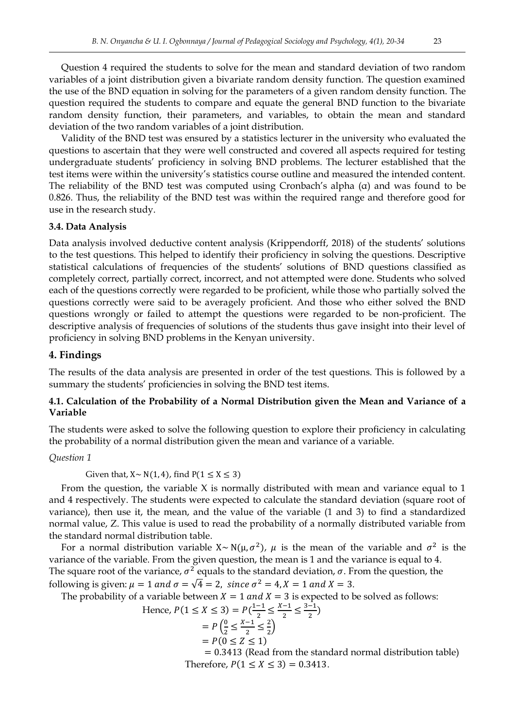Question 4 required the students to solve for the mean and standard deviation of two random variables of a joint distribution given a bivariate random density function. The question examined the use of the BND equation in solving for the parameters of a given random density function. The question required the students to compare and equate the general BND function to the bivariate random density function, their parameters, and variables, to obtain the mean and standard deviation of the two random variables of a joint distribution.

Validity of the BND test was ensured by a statistics lecturer in the university who evaluated the questions to ascertain that they were well constructed and covered all aspects required for testing undergraduate students' proficiency in solving BND problems. The lecturer established that the test items were within the university's statistics course outline and measured the intended content. The reliability of the BND test was computed using Cronbach's alpha (α) and was found to be 0.826. Thus, the reliability of the BND test was within the required range and therefore good for use in the research study.

### **3.4. Data Analysis**

Data analysis involved deductive content analysis (Krippendorff, 2018) of the students' solutions to the test questions. This helped to identify their proficiency in solving the questions. Descriptive statistical calculations of frequencies of the students' solutions of BND questions classified as completely correct, partially correct, incorrect, and not attempted were done. Students who solved each of the questions correctly were regarded to be proficient, while those who partially solved the questions correctly were said to be averagely proficient. And those who either solved the BND questions wrongly or failed to attempt the questions were regarded to be non-proficient. The descriptive analysis of frequencies of solutions of the students thus gave insight into their level of proficiency in solving BND problems in the Kenyan university.

## **4. Findings**

The results of the data analysis are presented in order of the test questions. This is followed by a summary the students' proficiencies in solving the BND test items.

# **4.1. Calculation of the Probability of a Normal Distribution given the Mean and Variance of a Variable**

The students were asked to solve the following question to explore their proficiency in calculating the probability of a normal distribution given the mean and variance of a variable.

#### *Question 1*

Given that,  $X \sim N(1, 4)$ , find  $P(1 \le X \le 3)$ 

From the question, the variable X is normally distributed with mean and variance equal to 1 and 4 respectively. The students were expected to calculate the standard deviation (square root of variance), then use it, the mean, and the value of the variable (1 and 3) to find a standardized normal value, Z. This value is used to read the probability of a normally distributed variable from the standard normal distribution table.

For a normal distribution variable  $X \sim N(\mu, \sigma^2)$ ,  $\mu$  is the mean of the variable and  $\sigma^2$  is the variance of the variable. From the given question, the mean is 1 and the variance is equal to 4. The square root of the variance,  $\sigma^2$  equals to the standard deviation,  $\sigma$ . From the question, the following is given:  $\mu = 1$  and  $\sigma = \sqrt{4} = 2$ , since  $\sigma^2 = 4$ ,  $X = 1$  and  $X = 3$ .

The probability of a variable between  $X = 1$  and  $X = 3$  is expected to be solved as follows:

Hence, 
$$
P(1 \le X \le 3) = P(\frac{1-1}{2} \le \frac{X-1}{2} \le \frac{3-1}{2})
$$
  
=  $P(\frac{0}{2} \le \frac{X-1}{2} \le \frac{2}{2})$   
=  $P(0 \le Z \le 1)$   
= 0.3413 (Read from the star

dard normal distribution table) Therefore,  $P(1 \le X \le 3) = 0.3413$ .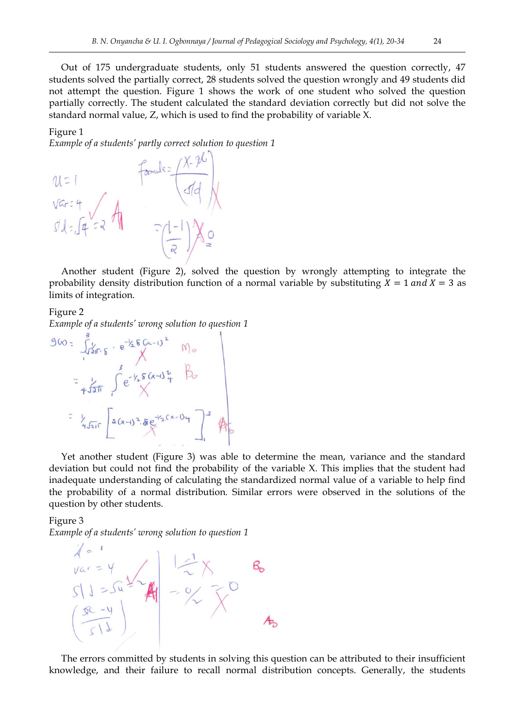Out of 175 undergraduate students, only 51 students answered the question correctly, 47 students solved the partially correct, 28 students solved the question wrongly and 49 students did not attempt the question. Figure 1 shows the work of one student who solved the question partially correctly. The student calculated the standard deviation correctly but did not solve the standard normal value, Z, which is used to find the probability of variable X.

## Figure 1

*Example of a students' partly correct solution to question 1*

 $M =$  $Var:4$ 

Another student (Figure 2), solved the question by wrongly attempting to integrate the probability density distribution function of a normal variable by substituting  $X = 1$  and  $X = 3$  as limits of integration.

Figure 2

*Example of a students' wrong solution to question 1*

 $960 = \int_{12\pi}^{3} y \cdot e^{-\frac{1}{2}566x-1^{2}} M_{\circ}$ <br>=  $\int_{4\pi}^{3} e^{-\frac{1}{2}56x-1^{2}} M_{\circ}$ =  $\frac{1}{4\sqrt{210}}$  =  $2(x-1)^2.5e^{-\frac{1}{2}(x-1)}$  +  $2\pi$ 

Yet another student (Figure 3) was able to determine the mean, variance and the standard deviation but could not find the probability of the variable X. This implies that the student had inadequate understanding of calculating the standardized normal value of a variable to help find the probability of a normal distribution. Similar errors were observed in the solutions of the question by other students.

Figure 3

*Example of a students' wrong solution to question 1*



The errors committed by students in solving this question can be attributed to their insufficient knowledge, and their failure to recall normal distribution concepts. Generally, the students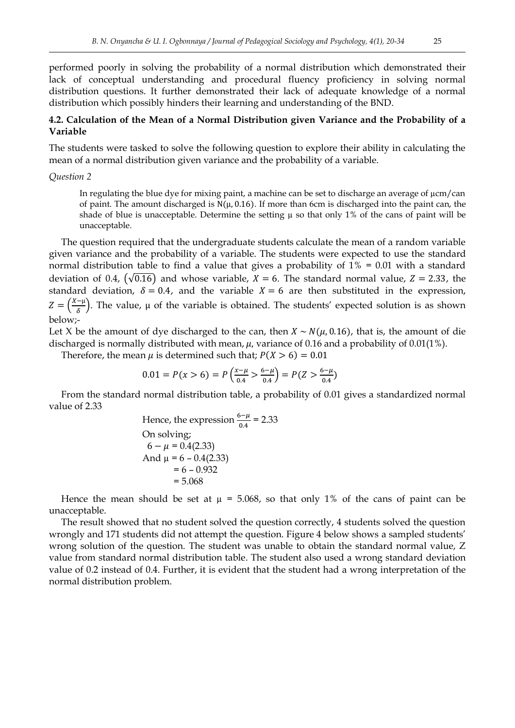performed poorly in solving the probability of a normal distribution which demonstrated their lack of conceptual understanding and procedural fluency proficiency in solving normal distribution questions. It further demonstrated their lack of adequate knowledge of a normal distribution which possibly hinders their learning and understanding of the BND.

## **4.2. Calculation of the Mean of a Normal Distribution given Variance and the Probability of a Variable**

The students were tasked to solve the following question to explore their ability in calculating the mean of a normal distribution given variance and the probability of a variable.

#### *Question 2*

In regulating the blue dye for mixing paint, a machine can be set to discharge an average of  $\mu$ cm/can of paint. The amount discharged is  $N(\mu, 0.16)$ . If more than 6cm is discharged into the paint can, the shade of blue is unacceptable. Determine the setting  $\mu$  so that only 1% of the cans of paint will be unacceptable.

The question required that the undergraduate students calculate the mean of a random variable given variance and the probability of a variable. The students were expected to use the standard normal distribution table to find a value that gives a probability of 1% = 0.01 with a standard deviation of 0.4,  $(\sqrt{0.16})$  and whose variable,  $X = 6$ . The standard normal value,  $Z = 2.33$ , the standard deviation,  $\delta = 0.4$ , and the variable  $X = 6$  are then substituted in the expression,  $Z=\left(\frac{X}{X}\right)$  $\frac{\partial^2 u}{\partial \delta}$ . The value,  $\mu$  of the variable is obtained. The students' expected solution is as shown below;-

Let X be the amount of dye discharged to the can, then  $X \sim N(\mu, 0.16)$ , that is, the amount of die discharged is normally distributed with mean,  $\mu$ , variance of 0.16 and a probability of 0.01(1%).

Therefore, the mean  $\mu$  is determined such that;  $P(X > 6) = 0.01$ 

$$
0.01 = P(x > 6) = P\left(\frac{x-\mu}{0.4} > \frac{6-\mu}{0.4}\right) = P(Z > \frac{6-\mu}{0.4})
$$

From the standard normal distribution table, a probability of 0.01 gives a standardized normal value of 2.33

Hence, the expression 
$$
\frac{6-\mu}{0.4} = 2.33
$$
  
On solving;  
 $6 - \mu = 0.4(2.33)$   
And  $\mu = 6 - 0.4(2.33)$   
 $= 6 - 0.932$   
 $= 5.068$ 

Hence the mean should be set at  $\mu = 5.068$ , so that only 1% of the cans of paint can be unacceptable.

The result showed that no student solved the question correctly, 4 students solved the question wrongly and 171 students did not attempt the question. Figure 4 below shows a sampled students' wrong solution of the question. The student was unable to obtain the standard normal value, Z value from standard normal distribution table. The student also used a wrong standard deviation value of 0.2 instead of 0.4. Further, it is evident that the student had a wrong interpretation of the normal distribution problem.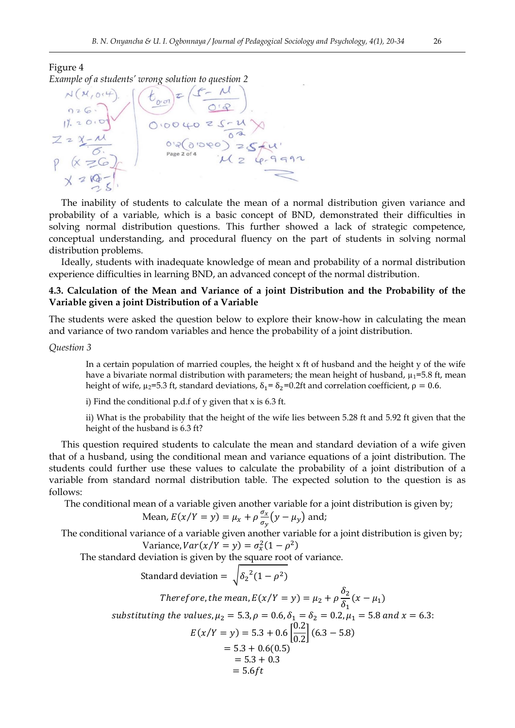### Figure 4



The inability of students to calculate the mean of a normal distribution given variance and probability of a variable, which is a basic concept of BND, demonstrated their difficulties in solving normal distribution questions. This further showed a lack of strategic competence, conceptual understanding, and procedural fluency on the part of students in solving normal distribution problems.

Ideally, students with inadequate knowledge of mean and probability of a normal distribution experience difficulties in learning BND, an advanced concept of the normal distribution.

## **4.3. Calculation of the Mean and Variance of a joint Distribution and the Probability of the Variable given a joint Distribution of a Variable**

The students were asked the question below to explore their know-how in calculating the mean and variance of two random variables and hence the probability of a joint distribution.

#### *Question 3*

In a certain population of married couples, the height  $x$  ft of husband and the height  $y$  of the wife have a bivariate normal distribution with parameters; the mean height of husband,  $\mu_1$ =5.8 ft, mean height of wife,  $\mu_2$ =5.3 ft, standard deviations,  $\delta_1 = \delta_2$ =0.2ft and correlation coefficient,  $\rho = 0.6$ .

i) Find the conditional p.d.f of y given that x is 6.3 ft.

ii) What is the probability that the height of the wife lies between 5.28 ft and 5.92 ft given that the height of the husband is 6.3 ft?

This question required students to calculate the mean and standard deviation of a wife given that of a husband, using the conditional mean and variance equations of a joint distribution. The students could further use these values to calculate the probability of a joint distribution of a variable from standard normal distribution table. The expected solution to the question is as follows:

The conditional mean of a variable given another variable for a joint distribution is given by;

Mean, 
$$
E(x/Y = y) = \mu_x + \rho \frac{\sigma_x}{\sigma_y} (y - \mu_y)
$$
 and;

The conditional variance of a variable given another variable for a joint distribution is given by; Variance,  $Var(x/Y = y) = \sigma_x^2(1 - \rho^2)$ 

The standard deviation is given by the square root of variance.

Standard deviation =  $\sqrt{\delta_2^2(1-\rho^2)}$ Therefore, the mean,  $E(x/Y = y) = \mu_2 + \rho \frac{\delta}{\epsilon}$  $\frac{\sigma_2}{\delta_1}(x-\mu_1)$ substituting the values,  $\mu_2 = 5.3$ ,  $\rho = 0.6$ ,  $\delta_1 = \delta_2 = 0.2$ ,  $\mu_1 = 5.8$  and  $x = 6.3$ :  $E(x/Y = y) = 5.3 + 0.6 \left[ \frac{0}{2} \right]$  $\frac{0.2}{0.2}$  (  $= 5.3 + 0.6(0.5)$  $= 5.3 + 0.3$  $= 5.6 ft$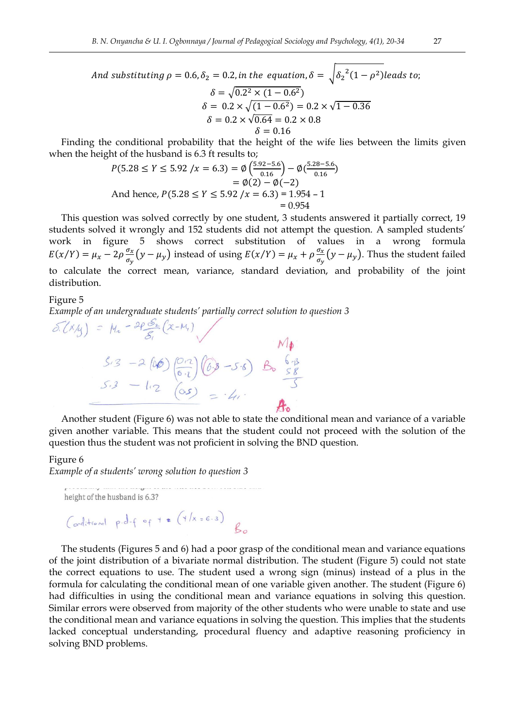And substituting  $\rho = 0.6$ ,  $\delta_2 = 0.2$ , in the equation,  $\delta = \sqrt{{\delta_2}^2(1-\rho^2)}$  $\delta = \sqrt{0.2^2 \times (1 - 0.6^2)}$  $\delta = 0.2 \times \sqrt{(1 - 0.6^2)} = 0.2 \times \sqrt{1}$  $\delta = 0.2 \times \sqrt{0.64} = 0.2 \times 0.8$  $\delta = 0.16$ 

Finding the conditional probability that the height of the wife lies between the limits given when the height of the husband is 6.3 ft results to;

$$
P(5.28 \le Y \le 5.92 \mid x = 6.3) = \emptyset \left( \frac{5.92 - 5.6}{0.16} \right) - \emptyset \left( \frac{5.28 - 5.6}{0.16} \right)
$$
  
=  $\emptyset(2) - \emptyset(-2)$   
And hence,  $P(5.28 \le Y \le 5.92 \mid x = 6.3) = 1.954 - 1$   
= 0.954

This question was solved correctly by one student, 3 students answered it partially correct, 19 students solved it wrongly and 152 students did not attempt the question. A sampled students' work in figure 5 shows correct substitution of values in a wrong formula  $E(x/Y) = \mu_x - 2\rho \frac{\sigma}{\sigma}$  $\frac{\sigma_x}{\sigma_y}$  (y –  $\mu_y$ ) instead of using  $E(x/Y) = \mu_x + \rho \frac{\sigma_x}{\sigma_y}$  $\frac{\partial x}{\partial y}(y-\mu_y)$ . Thus the student failed to calculate the correct mean, variance, standard deviation, and probability of the joint distribution.

#### Figure 5

*Example of an undergraduate students' partially correct solution to question 3*

$$
\delta.(x/y) = M_2 - 2(06)(2 - M_1)
$$
\n
$$
S_1 = -2(06)(0.2)(0.3 - 5.6)
$$
\n
$$
S_2 = -1.2(0.5) = -4.7
$$
\n
$$
S_3 = -1.2(0.5) = -4.7
$$

Another student (Figure 6) was not able to state the conditional mean and variance of a variable given another variable. This means that the student could not proceed with the solution of the question thus the student was not proficient in solving the BND question.

#### Figure 6

*Example of a students' wrong solution to question 3*

height of the husband is 6.3?  
\n
$$
(\text{odd:} + \text{cond:} p \cdot d - f \cdot e f + \epsilon \quad (4/x = 6.3)
$$
\n
$$
\beta_0
$$

The students (Figures 5 and 6) had a poor grasp of the conditional mean and variance equations of the joint distribution of a bivariate normal distribution. The student (Figure 5) could not state the correct equations to use. The student used a wrong sign (minus) instead of a plus in the formula for calculating the conditional mean of one variable given another. The student (Figure 6) had difficulties in using the conditional mean and variance equations in solving this question. Similar errors were observed from majority of the other students who were unable to state and use the conditional mean and variance equations in solving the question. This implies that the students lacked conceptual understanding, procedural fluency and adaptive reasoning proficiency in solving BND problems.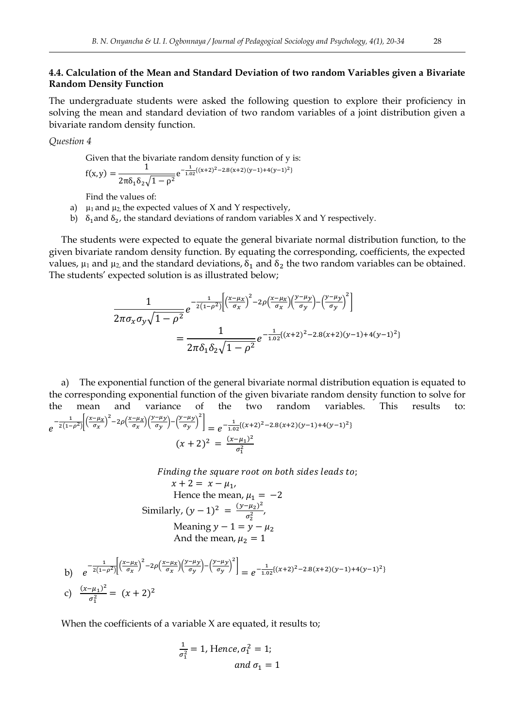## **4.4. Calculation of the Mean and Standard Deviation of two random Variables given a Bivariate Random Density Function**

The undergraduate students were asked the following question to explore their proficiency in solving the mean and standard deviation of two random variables of a joint distribution given a bivariate random density function.

*Question 4*

Given that the bivariate random density function of y is:

$$
f(x,y) = \frac{1}{2\pi\delta_1\delta_2\sqrt{1-\rho^2}}e^{-\frac{1}{1.02}[(x+2)^2 - 2.8(x+2)(y-1) + 4(y-1)^2]}
$$

Find the values of:

a)  $\mu_1$  and  $\mu_2$ , the expected values of X and Y respectively,

b)  $\delta_1$  and  $\delta_2$ , the standard deviations of random variables X and Y respectively.

The students were expected to equate the general bivariate normal distribution function, to the given bivariate random density function. By equating the corresponding, coefficients, the expected values,  $\mu_1$  and  $\mu_2$  and the standard deviations,  $\delta_1$  and  $\delta_2$  the two random variables can be obtained. The students' expected solution is as illustrated below;

$$
\frac{1}{2\pi\sigma_x\sigma_y\sqrt{1-\rho^2}}e^{-\frac{1}{2(1-\rho^2)}\left[\left(\frac{x-\mu_x}{\sigma_x}\right)^2-2\rho\left(\frac{x-\mu_x}{\sigma_x}\right)\left(\frac{y-\mu_y}{\sigma_y}\right)-\left(\frac{y-\mu_y}{\sigma_y}\right)^2\right]} = \frac{1}{2\pi\delta_1\delta_2\sqrt{1-\rho^2}}e^{-\frac{1}{1.02}((x+2)^2-2.8(x+2)(y-1)+4(y-1)^2)}
$$

a) The exponential function of the general bivariate normal distribution equation is equated to the corresponding exponential function of the given bivariate random density function to solve for the mean and variance of the two random variables. This results to:  $e^{-\frac{1}{2(1-x)}}$  $\frac{1}{2(1-\rho^2)}$   $\left(\frac{x}{2}\right)$  $\left(\frac{-\mu_X}{\sigma_X}\right)^2 - 2\rho\left(\frac{x}{\sigma_X}\right)$  $\frac{-\mu_x}{\sigma_x}$ ) $\left(\frac{y}{x}\right)$  $\frac{-\mu y}{\sigma y}$  –  $\left(\frac{y}{y}\right)$  $\left[\frac{-\mu y}{\sigma y}\right]^2\bigg] = e^{-\frac{1}{1.0}}$  $\frac{1}{1.02}$ {(x+2)<sup>2</sup>-2.8(x+2)(y-1)+4(y-1)<sup>2</sup>}  $(x+2)^2 = \frac{(x-\mu_1)^2}{2}$  $\sigma_1^2$ 

> Finding the square root on both sides leads to;  $x + 2 = x - u_1$ .

Hence the mean, 
$$
\mu_1 = -2
$$
  
\nSimilarly,  $(y - 1)^2 = \frac{(y - \mu_2)^2}{\sigma_2^2}$ ,  
\nMeaning  $y - 1 = y - \mu_2$   
\nAnd the mean,  $\mu_2 = 1$ 

b) 
$$
e^{-\frac{1}{2(1-\rho^2)} \left[ \left( \frac{x-\mu_X}{\sigma_X} \right)^2 - 2\rho \left( \frac{x-\mu_X}{\sigma_X} \right) \left( \frac{y-\mu_Y}{\sigma_Y} \right)^2 \right]} = e^{-\frac{1}{1.02} \left\{ (x+2)^2 - 2.8(x+2)(y-1) + 4(y-1)^2 \right\}}
$$
  
c)  $\frac{(x-\mu_1)^2}{\sigma_1^2} = (x+2)^2$ 

When the coefficients of a variable X are equated, it results to;

$$
\frac{1}{\sigma_1^2} = 1, \text{ Hence, } \sigma_1^2 = 1;
$$
  
and  $\sigma_1 = 1$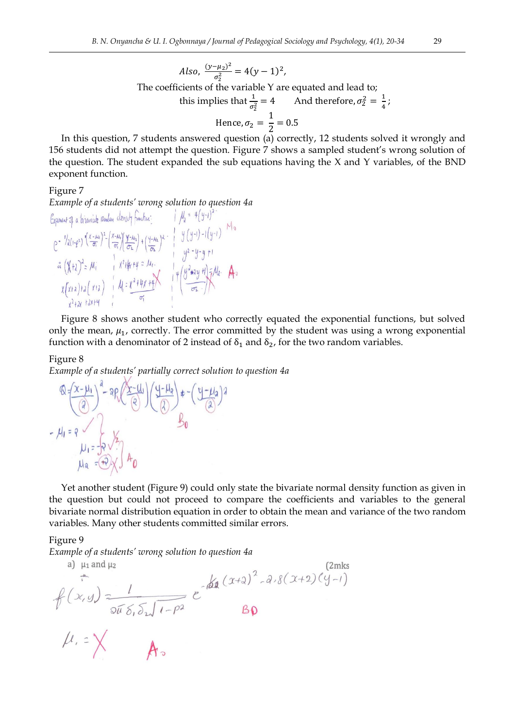Also, 
$$
\frac{(y-\mu_2)^2}{\sigma_2^2} = 4(y-1)^2
$$
,  
The coefficients of the variable Y are equated and lead to;  
this implies that  $\frac{1}{\sigma_2^2} = 4$  And therefore,  $\sigma_2^2 = \frac{1}{4}$ ;  
Hence,  $\sigma_2 = \frac{1}{2} = 0.5$ 

In this question, 7 students answered question (a) correctly, 12 students solved it wrongly and 156 students did not attempt the question. Figure 7 shows a sampled student's wrong solution of the question. The student expanded the sub equations having the X and Y variables, of the BND exponent function.

#### Figure 7

*Example of a students' wrong solution to question 4<i>a*<br> *Exponent*  $\partial_i$  a bivanish *amdan* density function:<br>  $e^{-\gamma} \int_{d(\frac{1}{2} - \rho^2)}^{\infty} \frac{(x - \mu_0)^2}{\sigma_1} \left( \frac{x - \mu_0}{\sigma_1} \right)^2 = \frac{(x - \mu_0)^2}{\sigma_2} \int_{1}^{\infty} \frac{(y - \mu_0)}{\sigma_2}$ 

Figure 8 shows another student who correctly equated the exponential functions, but solved only the mean,  $\mu_1$ , correctly. The error committed by the student was using a wrong exponential function with a denominator of 2 instead of  $\delta_1$  and  $\delta_2$ , for the two random variables.

#### Figure 8

*Example of a students' partially correct solution to question 4a*

$$
Q = \left(\frac{x - \mu_1}{2}\right)^2 - 2P\left(\frac{x - \mu_1}{2}\right)\left(\frac{y - \mu_2}{2}\right) + -\left(\frac{y - \mu_3}{2}\right)^2
$$
  
-  $\mu_1 = 2$   $\mu_2 = -\frac{1}{2}\sqrt{2}$   $\mu_3 = -\frac{1}{2}\sqrt{2}$ 

Yet another student (Figure 9) could only state the bivariate normal density function as given in the question but could not proceed to compare the coefficients and variables to the general bivariate normal distribution equation in order to obtain the mean and variance of the two random variables. Many other students committed similar errors.

#### Figure 9

*Example of a students' wrong solution to question 4a* (2mks<br>
a)  $\mu_1$  and  $\mu_2$  (2mks<br>  $\pi$  (2c, y)  $\frac{1}{2\pi\delta_0 \delta_1 \sqrt{1-\rho^2}} e^{-\beta \ln(\chi_1 + \chi_2)}$ <br>  $B\Omega$ a)  $\mu_1$  and  $\mu_2$ 

 $\mu = \times$  As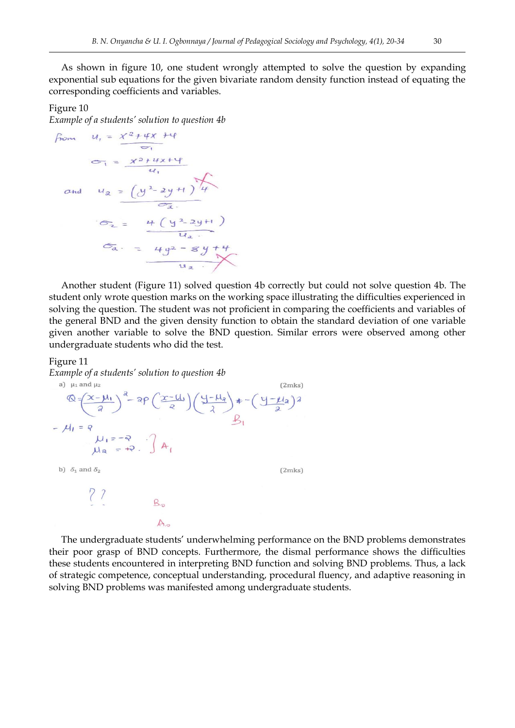As shown in figure 10, one student wrongly attempted to solve the question by expanding exponential sub equations for the given bivariate random density function instead of equating the corresponding coefficients and variables.

#### Figure 10

*Example of a students' solution to question 4b*

from 
$$
u_1 = \frac{x^2 + 4x + 4}{5}
$$
  
\n $\sigma_1 = \frac{x^2 + 4x + 4}{4}$   
\nand  $u_2 = (y^2 - 2y + 1)/4$   
\n $\sigma_2 = \frac{4 + (y^2 - 2y + 1)}{4}$   
\n $\sigma_3 = \frac{4(y^2 - 8y + 4)}{4}$   
\n $\sigma_4 = \frac{4y^2 - 8y + 4}{4}$ 

Another student (Figure 11) solved question 4b correctly but could not solve question 4b. The student only wrote question marks on the working space illustrating the difficulties experienced in solving the question. The student was not proficient in comparing the coefficients and variables of the general BND and the given density function to obtain the standard deviation of one variable given another variable to solve the BND question. Similar errors were observed among other undergraduate students who did the test.

#### Figure 11

*Example of a students' solution to question 4b*

a) 
$$
\mu_1
$$
 and  $\mu_2$  (2mks)  
\n
$$
\mathbb{Q} = \left(\frac{x-\mu_1}{a}\right)^a - 2\mathbb{P}\left(\frac{x-\mu_1}{2}\right)\left(\frac{y-\mu_2}{2}\right) \neq -\left(\frac{y-\mu_2}{2}\right)^2
$$
\n
$$
-\mu_1 = \mathbb{P}\left[\mu_1 = -\mathbb{P}\right] \quad \text{A} \quad \text{B}
$$
\n
$$
\mu_2 = +\mathbb{P} \quad \text{A} \quad \text{(2mks)}
$$
\n
$$
\begin{array}{ccc}\n\mathbb{P} & \mathbb{P} \\
\mathbb{P} & \mathbb{P} \\
\mathbb{P} & \mathbb{P} \\
\mathbb{P} & \mathbb{P} \\
\mathbb{P} & \mathbb{P} \\
\mathbb{P} & \mathbb{P} \\
\mathbb{P} & \mathbb{P}\n\end{array}
$$
\n
$$
\mathbb{P} \quad \mathbb{P}
$$
\n
$$
\mathbb{P} \quad \mathbb{P}
$$
\n
$$
\mathbb{P} \quad \mathbb{P}
$$
\n
$$
\mathbb{P} \quad \mathbb{P}
$$
\n
$$
\mathbb{P} \quad \mathbb{P}
$$
\n
$$
\mathbb{P} \quad \mathbb{P}
$$
\n
$$
\mathbb{P} \quad \mathbb{P}
$$
\n
$$
\mathbb{P} \quad \mathbb{P}
$$
\n
$$
\mathbb{P} \quad \mathbb{P}
$$

The undergraduate students' underwhelming performance on the BND problems demonstrates their poor grasp of BND concepts. Furthermore, the dismal performance shows the difficulties these students encountered in interpreting BND function and solving BND problems. Thus, a lack of strategic competence, conceptual understanding, procedural fluency, and adaptive reasoning in solving BND problems was manifested among undergraduate students.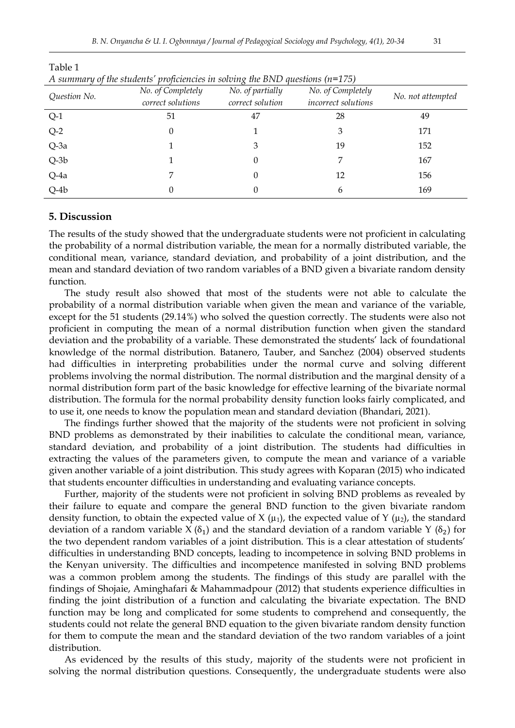| <i>ai sociology ana i sychology, <del>1</del>(1), 20-5<del>1</del></i> |  |  |  |
|------------------------------------------------------------------------|--|--|--|
|                                                                        |  |  |  |

| $1 + 2$<br>$\sim$ $\prime$<br>. |                   |                                         |                   |                   |  |  |  |  |
|---------------------------------|-------------------|-----------------------------------------|-------------------|-------------------|--|--|--|--|
| Question No.                    | No. of Completely | No. of partially                        | No. of Completely | No. not attempted |  |  |  |  |
|                                 | correct solutions | correct solution<br>incorrect solutions |                   |                   |  |  |  |  |
| $Q-1$                           | 51                | 47                                      | 28                | 49                |  |  |  |  |
| $Q-2$                           | 0                 |                                         | 3                 | 171               |  |  |  |  |
| Q-3a                            |                   |                                         | 19                | 152               |  |  |  |  |
| $Q-3b$                          |                   | 0                                       | 7                 | 167               |  |  |  |  |
| Q-4a                            |                   | 0                                       | 12                | 156               |  |  |  |  |
| $Q-4b$                          | 0                 |                                         | 6                 | 169               |  |  |  |  |

Table 1

*A summary of the students' proficiencies in solving the BND questions (n=175)*

#### **5. Discussion**

The results of the study showed that the undergraduate students were not proficient in calculating the probability of a normal distribution variable, the mean for a normally distributed variable, the conditional mean, variance, standard deviation, and probability of a joint distribution, and the mean and standard deviation of two random variables of a BND given a bivariate random density function.

The study result also showed that most of the students were not able to calculate the probability of a normal distribution variable when given the mean and variance of the variable, except for the 51 students (29.14%) who solved the question correctly. The students were also not proficient in computing the mean of a normal distribution function when given the standard deviation and the probability of a variable. These demonstrated the students' lack of foundational knowledge of the normal distribution. Batanero, Tauber, and Sanchez (2004) observed students had difficulties in interpreting probabilities under the normal curve and solving different problems involving the normal distribution. The normal distribution and the marginal density of a normal distribution form part of the basic knowledge for effective learning of the bivariate normal distribution. The formula for the normal probability density function looks fairly complicated, and to use it, one needs to know the population mean and standard deviation (Bhandari, 2021).

The findings further showed that the majority of the students were not proficient in solving BND problems as demonstrated by their inabilities to calculate the conditional mean, variance, standard deviation, and probability of a joint distribution. The students had difficulties in extracting the values of the parameters given, to compute the mean and variance of a variable given another variable of a joint distribution. This study agrees with Koparan (2015) who indicated that students encounter difficulties in understanding and evaluating variance concepts.

Further, majority of the students were not proficient in solving BND problems as revealed by their failure to equate and compare the general BND function to the given bivariate random density function, to obtain the expected value of X ( $\mu_1$ ), the expected value of Y ( $\mu_2$ ), the standard deviation of a random variable X  $(\delta_1)$  and the standard deviation of a random variable Y  $(\delta_2)$  for the two dependent random variables of a joint distribution. This is a clear attestation of students' difficulties in understanding BND concepts, leading to incompetence in solving BND problems in the Kenyan university. The difficulties and incompetence manifested in solving BND problems was a common problem among the students. The findings of this study are parallel with the findings of Shojaie, Aminghafari & Mahammadpour (2012) that students experience difficulties in finding the joint distribution of a function and calculating the bivariate expectation. The BND function may be long and complicated for some students to comprehend and consequently, the students could not relate the general BND equation to the given bivariate random density function for them to compute the mean and the standard deviation of the two random variables of a joint distribution.

As evidenced by the results of this study, majority of the students were not proficient in solving the normal distribution questions. Consequently, the undergraduate students were also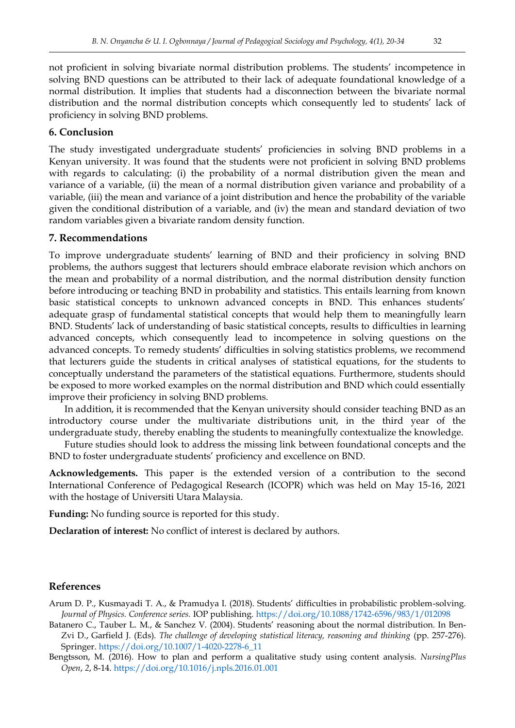not proficient in solving bivariate normal distribution problems. The students' incompetence in solving BND questions can be attributed to their lack of adequate foundational knowledge of a normal distribution. It implies that students had a disconnection between the bivariate normal distribution and the normal distribution concepts which consequently led to students' lack of proficiency in solving BND problems.

## **6. Conclusion**

The study investigated undergraduate students' proficiencies in solving BND problems in a Kenyan university. It was found that the students were not proficient in solving BND problems with regards to calculating: (i) the probability of a normal distribution given the mean and variance of a variable, (ii) the mean of a normal distribution given variance and probability of a variable, (iii) the mean and variance of a joint distribution and hence the probability of the variable given the conditional distribution of a variable, and (iv) the mean and standard deviation of two random variables given a bivariate random density function.

### **7. Recommendations**

To improve undergraduate students' learning of BND and their proficiency in solving BND problems, the authors suggest that lecturers should embrace elaborate revision which anchors on the mean and probability of a normal distribution, and the normal distribution density function before introducing or teaching BND in probability and statistics. This entails learning from known basic statistical concepts to unknown advanced concepts in BND. This enhances students' adequate grasp of fundamental statistical concepts that would help them to meaningfully learn BND. Students' lack of understanding of basic statistical concepts, results to difficulties in learning advanced concepts, which consequently lead to incompetence in solving questions on the advanced concepts. To remedy students' difficulties in solving statistics problems, we recommend that lecturers guide the students in critical analyses of statistical equations, for the students to conceptually understand the parameters of the statistical equations. Furthermore, students should be exposed to more worked examples on the normal distribution and BND which could essentially improve their proficiency in solving BND problems.

In addition, it is recommended that the Kenyan university should consider teaching BND as an introductory course under the multivariate distributions unit, in the third year of the undergraduate study, thereby enabling the students to meaningfully contextualize the knowledge.

Future studies should look to address the missing link between foundational concepts and the BND to foster undergraduate students' proficiency and excellence on BND.

**Acknowledgements.** This paper is the extended version of a contribution to the second International Conference of Pedagogical Research (ICOPR) which was held on May 15-16, 2021 with the hostage of Universiti Utara Malaysia.

**Funding:** No funding source is reported for this study.

**Declaration of interest:** No conflict of interest is declared by authors.

#### **References**

- Arum D. P., Kusmayadi T. A., & Pramudya I. (2018). Students' difficulties in probabilistic problem-solving. *Journal of Physics. Conference series.* IOP publishing.<https://doi.org/10.1088/1742-6596/983/1/012098>
- Batanero C., Tauber L. M., & Sanchez V. (2004). Students' reasoning about the normal distribution. In Ben-Zvi D., Garfield J. (Eds). *The challenge of developing statistical literacy, reasoning and thinking* (pp. 257-276). Springer. [https://doi.org/10.1007/1-4020-2278-6\\_11](https://doi.org/10.1007/1-4020-2278-6_11)
- Bengtsson, M. (2016). How to plan and perform a qualitative study using content analysis. *NursingPlus Open*, *2*, 8-14.<https://doi.org/10.1016/j.npls.2016.01.001>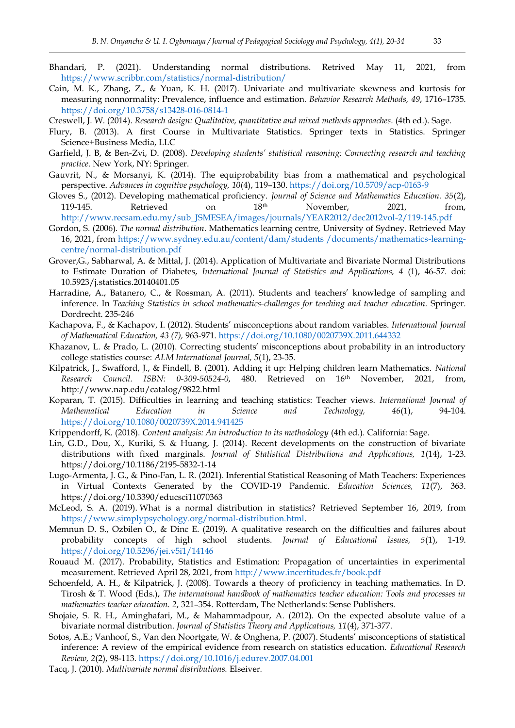- Bhandari, P. (2021). Understanding normal distributions. Retrived May 11, 2021, from <https://www.scribbr.com/statistics/normal-distribution/>
- Cain, M. K., Zhang, Z., & Yuan, K. H. (2017). Univariate and multivariate skewness and kurtosis for measuring nonnormality: Prevalence, influence and estimation. *Behavior Research Methods, 49*, 1716–1735. <https://doi.org/10.3758/s13428-016-0814-1>
- Creswell, J. W. (2014). *Research design: Qualitative, quantitative and mixed methods approaches*. (4th ed.). Sage.
- Flury, B. (2013). A first Course in Multivariate Statistics. Springer texts in Statistics. Springer Science+Business Media, LLC
- Garfield, J. B, & Ben-Zvi, D. (2008). *Developing students' statistical reasoning: Connecting research and teaching practice*. New York, NY: Springer.
- Gauvrit, N., & Morsanyi, K. (2014). The equiprobability bias from a mathematical and psychological perspective. *Advances in cognitive psychology, 10*(4), 119–130.<https://doi.org/10.5709/acp-0163-9>
- Gloves S., (2012). Developing mathematical proficiency. *Journal of Science and Mathematics Education. 35*(2), 119-145. Retrieved on  $18<sup>th</sup>$  November, 2021, from, [http://www.recsam.edu.my/sub\\_JSMESEA/images/journals/YEAR2012/dec2012vol-2/119-145.pdf](http://www.recsam.edu.my/sub_JSMESEA/images/journals/YEAR2012/dec2012vol-2/119-145.pdf)
- Gordon, S. (2006). *The normal distribution*. Mathematics learning centre*,* University of Sydney. Retrieved May 16, 2021, from [https://www.sydney.edu.au/content/dam/students /documents/mathematics-learning](https://www.sydney.edu.au/content/dam/students%20/documents/mathematics-learning-centre/normal-distribution.pdf)[centre/normal-distribution.pdf](https://www.sydney.edu.au/content/dam/students%20/documents/mathematics-learning-centre/normal-distribution.pdf)
- Grover,G., Sabharwal, A. & Mittal, J. (2014). Application of Multivariate and Bivariate Normal Distributions to Estimate Duration of Diabetes, *International Journal of Statistics and Applications, 4* (1), 46-57. doi: 10.5923/j.statistics.20140401.05
- Harradine, A., Batanero, C., & Rossman, A. (2011). Students and teachers' knowledge of sampling and inference. In *Teaching Statistics in school mathematics-challenges for teaching and teacher education.* Springer. Dordrecht. 235-246
- Kachapova, F., & Kachapov, I. (2012). Students' misconceptions about random variables. *International Journal of Mathematical Education, 43 (7),* 963-971[. https://doi.org/10.1080/0020739X.2011.644332](https://doi.org/10.1080/0020739X.2011.644332)
- Khazanov, L. & Prado, L. (2010). Correcting students' misconceptions about probability in an introductory college statistics course: *ALM International Journal, 5*(1), 23-35.
- Kilpatrick, J., Swafford, J., & Findell, B. (2001). Adding it up: Helping children learn Mathematics. *National Research Council. ISBN: 0-309-50524-0*, 480. Retrieved on 16th November, 2021, from, http://www.nap.edu/catalog/9822.html
- Koparan, T. (2015). Difficulties in learning and teaching statistics: Teacher views. *International Journal of Mathematical Education in Science and Technology, 46*(1), 94-104. <https://doi.org/10.1080/0020739X.2014.941425>

Krippendorff, K. (2018). *Content analysis: An introduction to its methodology* (4th ed.). California: Sage.

- Lin, G.D., Dou, X., Kuriki, S. & Huang, J. (2014). Recent developments on the construction of bivariate distributions with fixed marginals. *Journal of Statistical Distributions and Applications, 1*(14), 1-23. https://doi.org/10.1186/2195-5832-1-14
- Lugo-Armenta, J. G., & Pino-Fan, L. R. (2021). Inferential Statistical Reasoning of Math Teachers: Experiences in Virtual Contexts Generated by the COVID-19 Pandemic. *Education Sciences, 11*(7), 363. https://doi.org/10.3390/educsci11070363
- McLeod, S. A. (2019). What is a normal distribution in statistics? Retrieved September 16, 2019, from [https://www.simplypsychology.org/normal-distribution.html.](https://www.simplypsychology.org/normal-distribution.html)
- Memnun D. S., Ozbilen O., & Dinc E. (2019). A qualitative research on the difficulties and failures about probability concepts of high school students. *Journal of Educational Issues, 5*(1), 1-19. <https://doi.org/10.5296/jei.v5i1/14146>
- Rouaud M. (2017). Probability, Statistics and Estimation: Propagation of uncertainties in experimental measurement. Retrieved April 28, 2021, from<http://www.incertitudes.fr/book.pdf>
- Schoenfeld, A. H., & Kilpatrick, J. (2008). Towards a theory of proficiency in teaching mathematics. In D. Tirosh & T. Wood (Eds.), *The international handbook of mathematics teacher education: Tools and processes in mathematics teacher education. 2*, 321–354. Rotterdam, The Netherlands: Sense Publishers.
- Shojaie, S. R. H., Aminghafari, M., & Mahammadpour, A. (2012). On the expected absolute value of a bivariate normal distribution. *Journal of Statistics Theory and Applications, 11*(4), 371-377.
- Sotos, A.E.; Vanhoof, S., Van den Noortgate, W. & Onghena, P. (2007). Students' misconceptions of statistical inference: A review of the empirical evidence from research on statistics education. *Educational Research Review, 2*(2), 98-113.<https://doi.org/10.1016/j.edurev.2007.04.001>
- Tacq, J. (2010). *Multivariate normal distributions.* Elseiver*.*